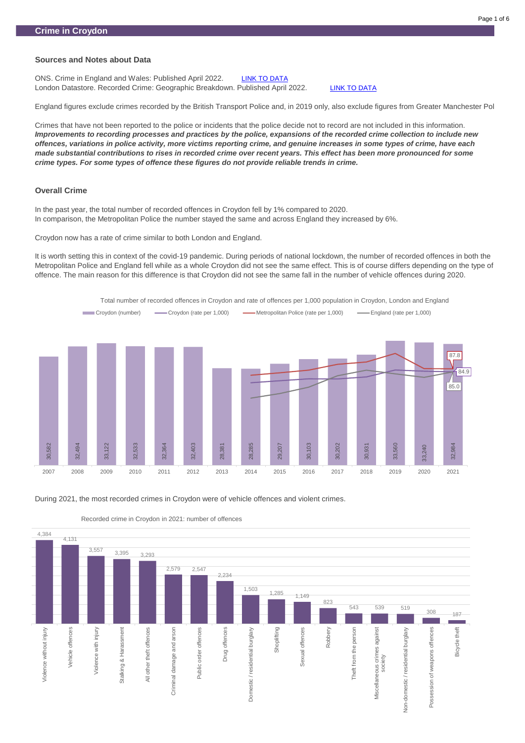ONS. Crime in England and Wales: Published April 2022. [LINK TO DATA](https://www.ons.gov.uk/peoplepopulationandcommunity/crimeandjustice/bulletins/crimeinenglandandwales/yearendingdecember2021) London Datastore. Recorded Crime: Geographic Breakdown. Published April 2022. [LINK TO DATA](https://data.london.gov.uk/dataset/recorded_crime_summary)

# **Sources and Notes about Data**

England figures exclude crimes recorded by the British Transport Police and, in 2019 only, also exclude figures from Greater Manchester Police.

Crimes that have not been reported to the police or incidents that the police decide not to record are not included in this information. *Improvements to recording processes and practices by the police, expansions of the recorded crime collection to include new offences, variations in police activity, more victims reporting crime, and genuine increases in some types of crime, have each made substantial contributions to rises in recorded crime over recent years. This effect has been more pronounced for some crime types. For some types of offence these figures do not provide reliable trends in crime.*

#### **Overall Crime**

In the past year, the total number of recorded offences in Croydon fell by 1% compared to 2020. In comparison, the Metropolitan Police the number stayed the same and across England they increased by 6%.

Croydon now has a rate of crime similar to both London and England.

It is worth setting this in context of the covid-19 pandemic. During periods of national lockdown, the number of recorded offences in both the Metropolitan Police and England fell while as a whole Croydon did not see the same effect. This is of course differs depending on the type of offence. The main reason for this difference is that Croydon did not see the same fall in the number of vehicle offences during 2020.





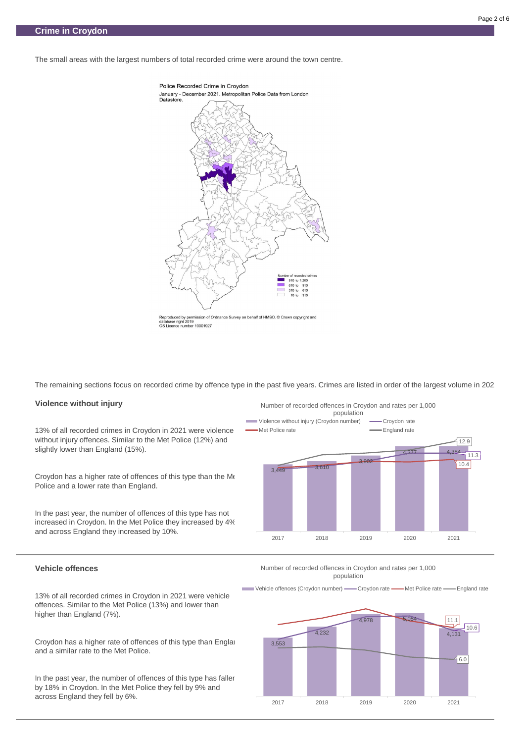The small areas with the largest numbers of total recorded crime were around the town centre.



Reproduced by permission of Ordnance Survey on behalf of HMSO. © Crown copyright and database right 2019 OS Licence number 10001927

The remaining sections focus on recorded crime by offence type in the past five years. Crimes are listed in order of the largest volume in 2021.

Croydon has a higher rate of offences of this type than the Me Police and a lower rate than England.

#### **Violence without injury**

13% of all recorded crimes in Croydon in 2021 were violence without injury offences. Similar to the Met Police (12%) and slightly lower than England (15%).

Croydon has a higher rate of offences of this type than England and a similar rate to the Met Police.

In the past year, the number of offences of this type has faller by 18% in Croydon. In the Met Police they fell by 9% and across England they fell by 6%.

In the past year, the number of offences of this type has not increased in Croydon. In the Met Police they increased by 4% and across England they increased by 10%.

#### **Vehicle offences**

13% of all recorded crimes in Croydon in 2021 were vehicle offences. Similar to the Met Police (13%) and lower than higher than England (7%).





Number of recorded offences in Croydon and rates per 1,000 population

Vehicle offences (Croydon number) - Croydon rate - Met Police rate - England rate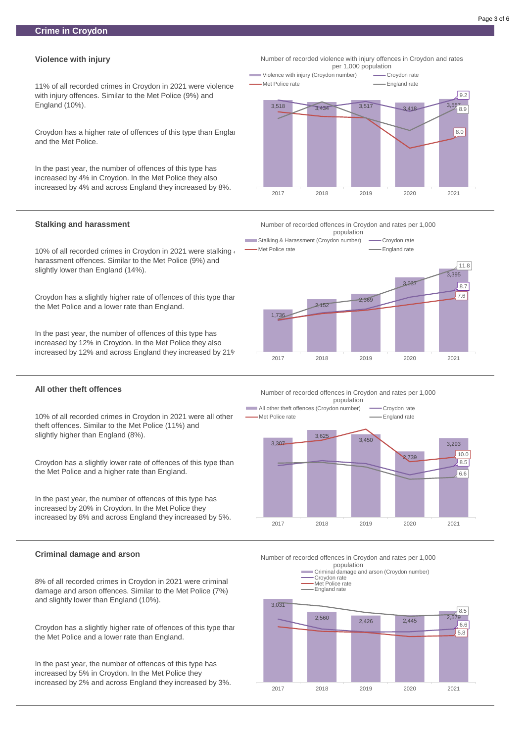#### **Violence with injury**

11% of all recorded crimes in Croydon in 2021 were violence with injury offences. Similar to the Met Police (9%) and England (10%).

Croydon has a higher rate of offences of this type than England and the Met Police.

10% of all recorded crimes in Croydon in 2021 were stalking  $\epsilon$ harassment offences. Similar to the Met Police (9%) and slightly lower than England (14%).

In the past year, the number of offences of this type has increased by 4% in Croydon. In the Met Police they also increased by 4% and across England they increased by 8%.

#### **Stalking and harassment**

Croydon has a slightly higher rate of offences of this type than the Met Police and a lower rate than England.

In the past year, the number of offences of this type has increased by 12% in Croydon. In the Met Police they also increased by 12% and across England they increased by 21%.

Croydon has a slightly higher rate of offences of this type than the Met Police and a lower rate than England.

#### **All other theft offences**

10% of all recorded crimes in Croydon in 2021 were all other theft offences. Similar to the Met Police (11%) and slightly higher than England (8%).

Croydon has a slightly lower rate of offences of this type than the Met Police and a higher rate than England.

In the past year, the number of offences of this type has increased by 20% in Croydon. In the Met Police they increased by 8% and across England they increased by 5%.

8% of all recorded crimes in Croydon in 2021 were criminal damage and arson offences. Similar to the Met Police (7%) and slightly lower than England (10%).

In the past year, the number of offences of this type has increased by 5% in Croydon. In the Met Police they increased by 2% and across England they increased by 3%.



Number of recorded violence with injury offences in Croydon and rates per 1,000 population









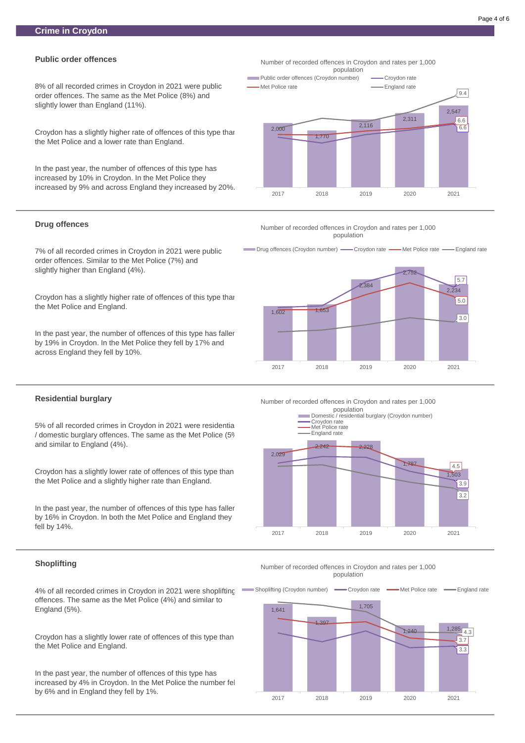# **Public order offences**

8% of all recorded crimes in Croydon in 2021 were public order offences. The same as the Met Police (8%) and slightly lower than England (11%).

Croydon has a slightly higher rate of offences of this type than the Met Police and a lower rate than England.

In the past year, the number of offences of this type has increased by 10% in Croydon. In the Met Police they increased by 9% and across England they increased by 20%.

In the past year, the number of offences of this type has faller by 19% in Croydon. In the Met Police they fell by 17% and across England they fell by 10%.

#### **Drug offences**

5% of all recorded crimes in Croydon in 2021 were residentia / domestic burglary offences. The same as the Met Police (5%) and similar to England (4%).

7% of all recorded crimes in Croydon in 2021 were public order offences. Similar to the Met Police (7%) and slightly higher than England (4%).

In the past year, the number of offences of this type has faller by 16% in Croydon. In both the Met Police and England they fell by 14%.

Croydon has a slightly higher rate of offences of this type than the Met Police and England.

#### **Residential burglary**

Croydon has a slightly lower rate of offences of this type than the Met Police and a slightly higher rate than England.

#### **Shoplifting**

# 1,641 1,397 1,705 1,240 1,285 4.3 3.3 3.7 Shoplifting (Croydon number) — Croydon rate — Met Police rate — England rate

4% of all recorded crimes in Croydon in 2021 were shoplifting offences. The same as the Met Police (4%) and similar to England (5%).

Croydon has a slightly lower rate of offences of this type than the Met Police and England.

Number of recorded offences in Croydon and rates per 1,000 1,000 population population

In the past year, the number of offences of this type has increased by 4% in Croydon. In the Met Police the number fell by 6% and in England they fell by 1%.

2,000

Drug offences (Croydon number) - Croydon rate - Met Police rate - England rate

1,770

2,116

2,311

2,547

6.6 6.6

9.4

2017 2018 2019 2020 2021

Number of recorded offences in Croydon and rates per 1,000 population

**Public order offences (Croydon number) -**Croydon rate Met Police rate **England rate** 



Number of recorded offences in Croydon and rates per 1,000 population

Number of recorded offences in Croydon and rates per 1,000



2017 2018 2019 2020 2021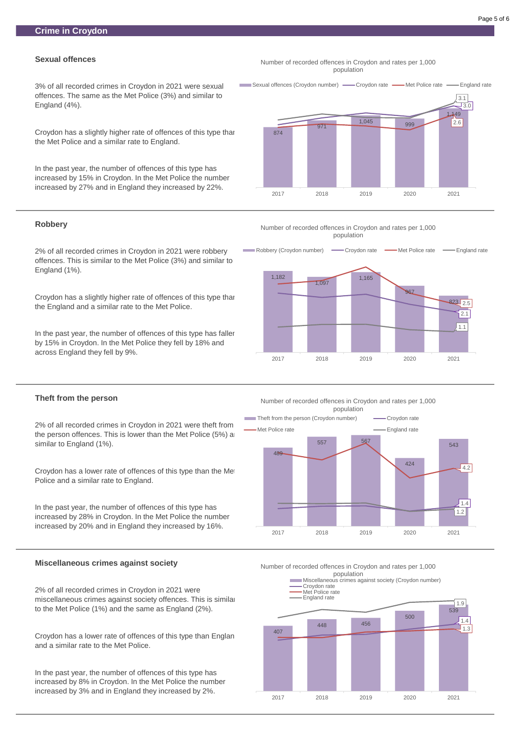# **Sexual offences**

3% of all recorded crimes in Croydon in 2021 were sexual offences. The same as the Met Police (3%) and similar to England (4%).

Croydon has a slightly higher rate of offences of this type than the Met Police and a similar rate to England.

In the past year, the number of offences of this type has increased by 15% in Croydon. In the Met Police the number increased by 27% and in England they increased by 22%.

In the past year, the number of offences of this type has faller by 15% in Croydon. In the Met Police they fell by 18% and across England they fell by 9%.

# **Robbery**

2% of all recorded crimes in Croydon in 2021 were robbery offences. This is similar to the Met Police (3%) and similar to England (1%).

Croydon has a slightly higher rate of offences of this type than the England and a similar rate to the Met Police.

Croydon has a lower rate of offences of this type than Englan and a similar rate to the Met Police.

### **Theft from the person**

2% of all recorded crimes in Croydon in 2021 were theft from the person offences. This is lower than the Met Police  $(5%)$  and similar to England (1%).

Croydon has a lower rate of offences of this type than the Met Police and a similar rate to England.

#### Number of recorded offences in Croydon and rates per 1,000 1,000 population population

In the past year, the number of offences of this type has increased by 28% in Croydon. In the Met Police the number increased by 20% and in England they increased by 16%.

#### **Miscellaneous crimes against society**

2% of all recorded crimes in Croydon in 2021 were miscellaneous crimes against society offences. This is similar to the Met Police (1%) and the same as England (2%).

In the past year, the number of offences of this type has increased by 8% in Croydon. In the Met Police the number increased by 3% and in England they increased by 2%.

Number of recorded offences in Croydon and rates per 1,000 1,000 population population





1,000 population population